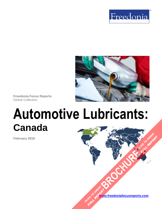



**Freedonia Focus Reports** Global Collection

# **Automotive Lubricants: Canada**

**February 2018**

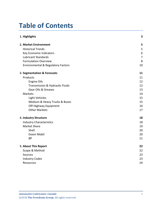# **Table of Contents**

| 1. Highlights                                 | 3              |
|-----------------------------------------------|----------------|
| 2. Market Environment                         | 5              |
| <b>Historical Trends</b>                      | 5              |
| <b>Key Economic Indicators</b>                | 6              |
| <b>Lubricant Standards</b>                    | $\overline{7}$ |
| <b>Formulation Overview</b>                   | 8              |
| <b>Environmental &amp; Regulatory Factors</b> | 10             |
| 3. Segmentation & Forecasts                   | 11             |
| Products                                      | 11             |
| <b>Engine Oils</b>                            | 12             |
| Transmission & Hydraulic Fluids               | 12             |
| <b>Gear Oils &amp; Greases</b>                | 13             |
| Markets                                       | 14             |
| <b>Light Vehicles</b>                         | 15             |
| Medium & Heavy Trucks & Buses                 | 15             |
| Off-Highway Equipment                         | 16             |
| <b>Other Markets</b>                          | 17             |
| 4. Industry Structure                         | 18             |
| <b>Industry Characteristics</b>               | 18             |
| <b>Market Share</b>                           | 19             |
| Shell                                         | 20             |
| <b>Exxon Mobil</b>                            | 20             |
| <b>BP</b>                                     | 21             |
| 5. About This Report                          | 22             |
| Scope & Method                                | 22             |
| Sources                                       | 23             |
| <b>Industry Codes</b>                         | 23             |
| <b>Resources</b>                              | 24             |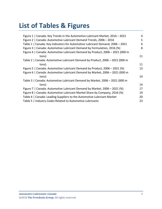# **List of Tables & Figures**

| Figure 1   Canada: Key Trends in the Automotive Lubricant Market, 2016 - 2021 | 4  |
|-------------------------------------------------------------------------------|----|
| Figure 2   Canada: Automotive Lubricant Demand Trends, 2006 - 2016            | 5  |
| Table 1   Canada: Key Indicators for Automotive Lubricant Demand, 2006 - 2021 | 6  |
| Figure 3   Canada: Automotive Lubricant Demand by Formulation, 2016 (%)       | 8  |
| Figure 4   Canada: Automotive Lubricant Demand by Product, 2006 - 2021 (000 m |    |
| tons)                                                                         | 11 |
| Table 2   Canada: Automotive Lubricant Demand by Product, 2006 - 2021 (000 m  |    |
| tons)                                                                         | 11 |
| Figure 5   Canada: Automotive Lubricant Demand by Product, 2006 - 2021 (%)    | 13 |
| Figure 6   Canada: Automotive Lubricant Demand by Market, 2006 - 2021 (000 m  |    |
| tons)                                                                         | 14 |
| Table 3   Canada: Automotive Lubricant Demand by Market, 2006 - 2021 (000 m   |    |
| tons)                                                                         | 14 |
| Figure 7   Canada: Automotive Lubricant Demand by Market, 2006 - 2021 (%)     | 17 |
| Figure 8   Canada: Automotive Lubricant Market Share by Company, 2016 (%)     | 19 |
| Table 4   Canada: Leading Suppliers to the Automotive Lubricant Market        | 20 |
| Table 5   Industry Codes Related to Automotive Lubricants                     | 23 |
|                                                                               |    |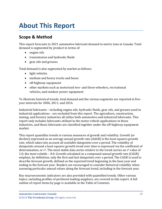# <span id="page-3-0"></span>**About This Report**

## <span id="page-3-1"></span>**Scope & Method**

This report forecasts to 2021 automotive lubricant demand in metric tons in Canada. Total demand is segmented by product in terms of:

- engine oils
- transmission and hydraulic fluids
- gear oils and greases

Total demand is also segmented by market as follows:

- light vehicles
- medium and heavy trucks and buses
- off-highway equipment
- other markets such as motorized two- and three-wheelers, recreational vehicles, and outdoor power equipment

To illustrate historical trends, total demand and the various segments are reported at fiveyear intervals for 2006, 2011, and 2016.

Industrial lubricants – including engine oils, hydraulic fluids, gear oils, and greases used in industrial applications – are excluded from this report. The agriculture, construction, mining, and forestry industries all utilize both automotive and industrial lubricants. This report only includes lubricants utilized in the motor vehicle applications in those industries, and those lubricants are classified together under the off-highway equipment market.

This report quantifies trends in various measures of growth and volatility. Growth (or decline) expressed as an average annual growth rate (AAGR) is the least squares growth rate, which takes into account all available datapoints over a period. The volatility of datapoints around a least squares growth trend over time is expressed via the coefficient of determination, or  $r^2$ . The most stable data series relative to the trend carries an  $r^2$  value of 1.0; the most volatile – 0.0. Growth calculated as a compound annual growth rate (CAGR) employs, by definition, only the first and last datapoints over a period. The CAGR is used to describe forecast growth, defined as the expected trend beginning in the base year and ending in the forecast year. Readers are encouraged to consider historical volatility when assessing particular annual values along the forecast trend, including in the forecast year.

Key macroeconomic indicators are also provided with quantified trends. Other various topics, including profiles of pertinent leading suppliers, are covered in this report. A full outline of report items by page is available in the Table of Contents.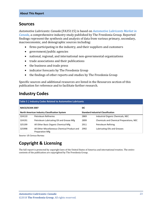## <span id="page-4-0"></span>**Sources**

*Automotive Lubricants: Canada* (FA35115) is based on *[Automotive Lubricants Market in](http://www.freedoniagroup.com/DocumentDetails.aspx?ReferrerId=FL-FOCUS&studyid=3621)  [Canada,](http://www.freedoniagroup.com/DocumentDetails.aspx?ReferrerId=FL-FOCUS&studyid=3621)* a comprehensive industry study published by The Freedonia Group. Reported findings represent the synthesis and analysis of data from various primary, secondary, macroeconomic, and demographic sources including:

- firms participating in the industry, and their suppliers and customers
- government/public agencies
- national, regional, and international non-governmental organizations
- trade associations and their publications
- the business and trade press
- indicator forecasts by The Freedonia Group
- the findings of other reports and studies by The Freedonia Group

Specific sources and additional resources are listed in the Resources section of this publication for reference and to facilitate further research.

## <span id="page-4-1"></span>**Industry Codes**

<span id="page-4-2"></span>

| Table 5   Industry Codes Related to Automotive Lubricants |                                                                 |                                           |                                                 |  |
|-----------------------------------------------------------|-----------------------------------------------------------------|-------------------------------------------|-------------------------------------------------|--|
| <b>NAICS/SCIAN 2007</b>                                   |                                                                 | <b>SIC</b>                                |                                                 |  |
|                                                           | <b>North American Industry Classification System</b>            | <b>Standard Industrial Classification</b> |                                                 |  |
| 324110                                                    | Petroleum Refineries                                            | 2869                                      | Industrial Organic Chemicals, NEC               |  |
| 324191                                                    | Petroleum Lubricating Oil and Grease Mfg                        | 2899                                      | <b>Chemicals and Chemical Preparations, NEC</b> |  |
| 325199                                                    | All Other Basic Organic Chemical Mfg                            | 2911                                      | Petroleum Refining                              |  |
| 325998                                                    | All Other Miscellaneous Chemical Product and<br>Preparation Mfg | 2992                                      | Lubricating Oils and Greases                    |  |

Source: US Census Bureau

# **Copyright & Licensing**

The full report is protected by copyright laws of the United States of America and international treaties. The entire contents of the publication are copyrighted by The Freedonia Group.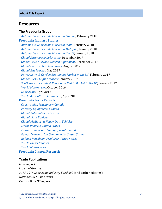### <span id="page-5-0"></span>**Resources**

#### **The Freedonia Group**

 *[Automotive Lubricants Market in Canada,](http://www.freedoniagroup.com/DocumentDetails.aspx?ReferrerId=FL-FOCUS&studyid=3621)* February 2018 **[Freedonia Industry Studies](http://www.freedoniagroup.com/Home.aspx?ReferrerId=FL-Focus)**  *[Automotive Lubricants Market in India](http://www.freedoniagroup.com/DocumentDetails.aspx?ReferrerId=FL-FOCUS&studyid=3619)*, February 2018  *[Automotive Lubricants Market in Malaysia](http://www.freedoniagroup.com/DocumentDetails.aspx?ReferrerId=FL-FOCUS&studyid=3600)*, January 2018  *[Automotive Lubricants Market in the UK](http://www.freedoniagroup.com/DocumentDetails.aspx?ReferrerId=FL-FOCUS&studyid=3607)*, January 2018  *[Global Automotive Lubricants](http://www.freedoniagroup.com/DocumentDetails.aspx?ReferrerId=FL-FOCUS&studyid=3583)*, December 2017  *[Global Power Lawn & Garden Equipment](http://www.freedoniagroup.com/DocumentDetails.aspx?ReferrerId=FL-FOCUS&studyid=3640)*, December 2017  *[Global Construction Machinery](http://www.freedoniagroup.com/DocumentDetails.aspx?ReferrerId=FL-FOCUS&studyid=3539)*, August 2017  *[Global Bus Market](http://www.freedoniagroup.com/DocumentDetails.aspx?ReferrerId=FL-FOCUS&studyid=3509)*, May 2017  *[Power Lawn & Garden Equipment Market in the US](http://www.freedoniagroup.com/DocumentDetails.aspx?ReferrerId=FL-FOCUS&studyid=3501)*, February 2017  *[Global Diesel Engine Market](http://www.freedoniagroup.com/DocumentDetails.aspx?ReferrerId=FL-FOCUS&studyid=3488)*, January 2017  *[Synthetic Lubricants & Functional Fluids Market in the US](http://www.freedoniagroup.com/DocumentDetails.aspx?ReferrerId=FL-FOCUS&studyid=3478)*, January 2017  *[World Motorcycles](http://www.freedoniagroup.com/DocumentDetails.aspx?ReferrerId=FL-FOCUS&studyid=3454)*, October 2016  *[Lubricants](http://www.freedoniagroup.com/DocumentDetails.aspx?ReferrerId=FL-FOCUS&studyid=3394)*, April 2016  *[World Agricultural Equipment](http://www.freedoniagroup.com/DocumentDetails.aspx?ReferrerId=FL-FOCUS&studyid=3395)*, April 2016 **[Freedonia Focus Reports](https://www.freedoniafocusreports.com/redirect.asp?progid=89534&url=/)**  *[Construction Machinery: Canada](https://www.freedoniafocusreports.com/Construction-Machinery-Canada-CA75027/) [Forestry Equipment: Canada](https://www.freedoniafocusreports.com/Forestry-Equipment-Canada-CA75044/) [Global Automotive Lubricants](https://www.freedoniafocusreports.com/Global-Automotive-Lubricants-FW35115/) [Global Light Vehicles](https://www.freedoniafocusreports.com/Global-Light-Vehicles-FW85015/) Global Medium- [& Heavy-Duty Vehicles](https://www.freedoniafocusreports.com/Global-Medium-Heavy-Duty-Vehicles-FW85014/) [Motor Vehicles: United States](https://www.freedoniafocusreports.com/Motor-Vehicles-United-States-FF85029/) [Power Lawn & Garden Equipment: Canada](https://www.freedoniafocusreports.com/Power-Lawn-Garden-Equipment-Canada-FA90016/) [Power Transmission Components: United States](https://www.freedoniafocusreports.com/Power-Transmission-Components-United-States-FF70010/) [Refined Petroleum Products: United States](https://www.freedoniafocusreports.com/Refined-Petroleum-Products-United-States-FF45023/) [World Diesel Engines](https://www.freedoniafocusreports.com/World-Diesel-Engines-FW45026/) [World Motorcycles](https://www.freedoniafocusreports.com/World-Motorcycles-FW85016/)* **[Freedonia Custom Research](http://www.freedoniagroup.com/CustomResearch.aspx?ReferrerId=FL-Focus)**

#### **Trade Publications**

*Lube Report Lubes 'n' Greases 2017-2018 Lubricants Industry Factbook* (and earlier editions) *National Oil & Lube News Petrosil Base Oil Report*